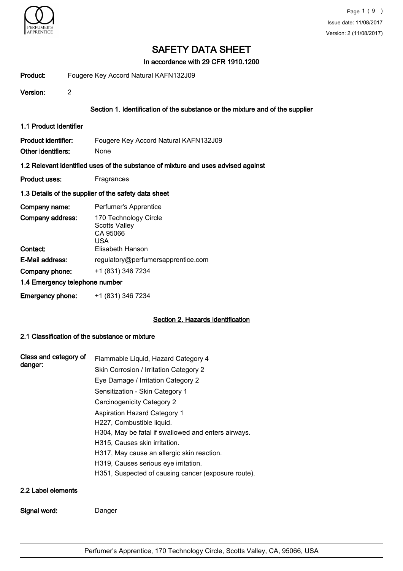

In accordance with 29 CFR 1910.1200

Product: Fougere Key Accord Natural KAFN132J09

Version: 2

### Section 1. Identification of the substance or the mixture and of the supplier

1.1 Product Identifier

Product identifier: Fougere Key Accord Natural KAFN132J09 Other identifiers: None

#### 1.2 Relevant identified uses of the substance of mixture and uses advised against

Product uses: Fragrances

#### 1.3 Details of the supplier of the safety data sheet

| Company name:                  | Perfumer's Apprentice                                                                |
|--------------------------------|--------------------------------------------------------------------------------------|
| Company address:<br>Contact:   | 170 Technology Circle<br><b>Scotts Valley</b><br>CA 95066<br>USA<br>Elisabeth Hanson |
|                                |                                                                                      |
| E-Mail address:                | regulatory@perfumersapprentice.com                                                   |
| Company phone:                 | +1 (831) 346 7234                                                                    |
| 1.4 Emergency telephone number |                                                                                      |
| <b>Emergency phone:</b>        | +1 (831) 346 7234                                                                    |

#### Section 2. Hazards identification

#### 2.1 Classification of the substance or mixture

Signal word: Danger

| Flammable Liquid, Hazard Category 4<br>Skin Corrosion / Irritation Category 2<br>Eye Damage / Irritation Category 2<br>Sensitization - Skin Category 1<br>Carcinogenicity Category 2<br><b>Aspiration Hazard Category 1</b><br>H227, Combustible liquid.<br>H304, May be fatal if swallowed and enters airways.<br>H315, Causes skin irritation.<br>H317, May cause an allergic skin reaction. |
|------------------------------------------------------------------------------------------------------------------------------------------------------------------------------------------------------------------------------------------------------------------------------------------------------------------------------------------------------------------------------------------------|
| H319, Causes serious eye irritation.                                                                                                                                                                                                                                                                                                                                                           |
| H351, Suspected of causing cancer (exposure route).                                                                                                                                                                                                                                                                                                                                            |
|                                                                                                                                                                                                                                                                                                                                                                                                |
|                                                                                                                                                                                                                                                                                                                                                                                                |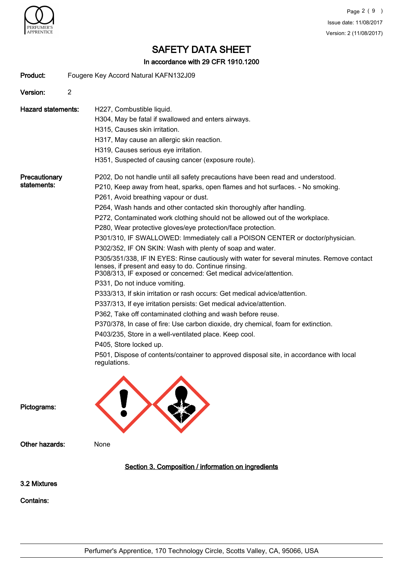

#### In accordance with 29 CFR 1910.1200

| Product:                     | Fougere Key Accord Natural KAFN132J09                                                                                                                                                                                                                                                                                                                                                                                                                                                                                                                                                                                                                                                                                                                                                                                                                                                                                                                                                                                                                                                                                                                                                                                                                                                                                                              |  |  |
|------------------------------|----------------------------------------------------------------------------------------------------------------------------------------------------------------------------------------------------------------------------------------------------------------------------------------------------------------------------------------------------------------------------------------------------------------------------------------------------------------------------------------------------------------------------------------------------------------------------------------------------------------------------------------------------------------------------------------------------------------------------------------------------------------------------------------------------------------------------------------------------------------------------------------------------------------------------------------------------------------------------------------------------------------------------------------------------------------------------------------------------------------------------------------------------------------------------------------------------------------------------------------------------------------------------------------------------------------------------------------------------|--|--|
| Version:                     | $\overline{2}$                                                                                                                                                                                                                                                                                                                                                                                                                                                                                                                                                                                                                                                                                                                                                                                                                                                                                                                                                                                                                                                                                                                                                                                                                                                                                                                                     |  |  |
| <b>Hazard statements:</b>    | H227, Combustible liquid.<br>H304, May be fatal if swallowed and enters airways.<br>H315, Causes skin irritation.<br>H317, May cause an allergic skin reaction.<br>H319, Causes serious eye irritation.<br>H351, Suspected of causing cancer (exposure route).                                                                                                                                                                                                                                                                                                                                                                                                                                                                                                                                                                                                                                                                                                                                                                                                                                                                                                                                                                                                                                                                                     |  |  |
| Precautionary<br>statements: | P202, Do not handle until all safety precautions have been read and understood.<br>P210, Keep away from heat, sparks, open flames and hot surfaces. - No smoking.<br>P261, Avoid breathing vapour or dust.<br>P264, Wash hands and other contacted skin thoroughly after handling.<br>P272, Contaminated work clothing should not be allowed out of the workplace.<br>P280, Wear protective gloves/eye protection/face protection.<br>P301/310, IF SWALLOWED: Immediately call a POISON CENTER or doctor/physician.<br>P302/352, IF ON SKIN: Wash with plenty of soap and water.<br>P305/351/338, IF IN EYES: Rinse cautiously with water for several minutes. Remove contact<br>lenses, if present and easy to do. Continue rinsing.<br>P308/313, IF exposed or concerned: Get medical advice/attention.<br>P331, Do not induce vomiting.<br>P333/313, If skin irritation or rash occurs: Get medical advice/attention.<br>P337/313, If eye irritation persists: Get medical advice/attention.<br>P362, Take off contaminated clothing and wash before reuse.<br>P370/378, In case of fire: Use carbon dioxide, dry chemical, foam for extinction.<br>P403/235, Store in a well-ventilated place. Keep cool.<br>P405, Store locked up.<br>P501, Dispose of contents/container to approved disposal site, in accordance with local<br>regulations. |  |  |
| Pictograms:                  |                                                                                                                                                                                                                                                                                                                                                                                                                                                                                                                                                                                                                                                                                                                                                                                                                                                                                                                                                                                                                                                                                                                                                                                                                                                                                                                                                    |  |  |
| Other hazards:               | None                                                                                                                                                                                                                                                                                                                                                                                                                                                                                                                                                                                                                                                                                                                                                                                                                                                                                                                                                                                                                                                                                                                                                                                                                                                                                                                                               |  |  |
|                              | Section 3. Composition / information on ingredients                                                                                                                                                                                                                                                                                                                                                                                                                                                                                                                                                                                                                                                                                                                                                                                                                                                                                                                                                                                                                                                                                                                                                                                                                                                                                                |  |  |
| 3.2 Mixtures                 |                                                                                                                                                                                                                                                                                                                                                                                                                                                                                                                                                                                                                                                                                                                                                                                                                                                                                                                                                                                                                                                                                                                                                                                                                                                                                                                                                    |  |  |
| <b>Contains:</b>             |                                                                                                                                                                                                                                                                                                                                                                                                                                                                                                                                                                                                                                                                                                                                                                                                                                                                                                                                                                                                                                                                                                                                                                                                                                                                                                                                                    |  |  |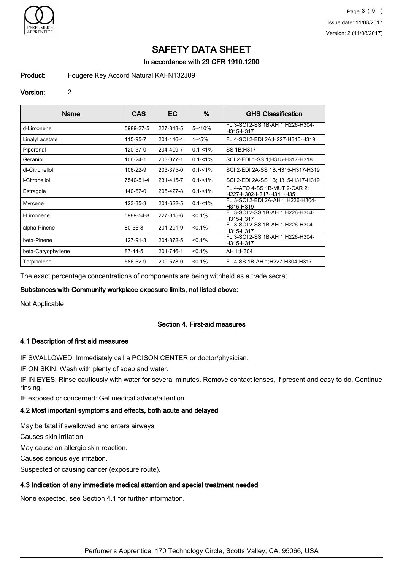

### In accordance with 29 CFR 1910.1200

#### Product: Fougere Key Accord Natural KAFN132J09

#### Version: 2

| Name               | <b>CAS</b>    | EC.       | %           | <b>GHS Classification</b>                                 |
|--------------------|---------------|-----------|-------------|-----------------------------------------------------------|
| d-Limonene         | 5989-27-5     | 227-813-5 | $5 - 10%$   | FL 3-SCI 2-SS 1B-AH 1:H226-H304-<br>H315-H317             |
| Linalyl acetate    | 115-95-7      | 204-116-4 | 1-<5%       | FL 4-SCI 2-EDI 2A;H227-H315-H319                          |
| Piperonal          | 120-57-0      | 204-409-7 | $0.1 - 1\%$ | SS 1B;H317                                                |
| Geraniol           | 106-24-1      | 203-377-1 | $0.1 - 1\%$ | SCI 2-EDI 1-SS 1;H315-H317-H318                           |
| dl-Citronellol     | 106-22-9      | 203-375-0 | $0.1 - 1\%$ | SCI 2-EDI 2A-SS 1B:H315-H317-H319                         |
| I-Citronellol      | 7540-51-4     | 231-415-7 | $0.1 - 1\%$ | SCI 2-EDI 2A-SS 1B:H315-H317-H319                         |
| Estragole          | 140-67-0      | 205-427-8 | $0.1 - 1\%$ | FL 4-ATO 4-SS 1B-MUT 2-CAR 2;<br>H227-H302-H317-H341-H351 |
| Myrcene            | 123-35-3      | 204-622-5 | $0.1 - 1\%$ | FL 3-SCI 2-EDI 2A-AH 1;H226-H304-<br>H315-H319            |
| I-Limonene         | 5989-54-8     | 227-815-6 | $< 0.1\%$   | FL 3-SCI 2-SS 1B-AH 1; H226-H304-<br>H315-H317            |
| alpha-Pinene       | $80 - 56 - 8$ | 201-291-9 | $< 0.1\%$   | FL 3-SCI 2-SS 1B-AH 1:H226-H304-<br>H315-H317             |
| beta-Pinene        | 127-91-3      | 204-872-5 | < 0.1%      | FL 3-SCI 2-SS 1B-AH 1; H226-H304-<br>H315-H317            |
| beta-Caryophyllene | 87-44-5       | 201-746-1 | $< 0.1\%$   | AH 1:H304                                                 |
| Terpinolene        | 586-62-9      | 209-578-0 | < 0.1%      | FL 4-SS 1B-AH 1:H227-H304-H317                            |

The exact percentage concentrations of components are being withheld as a trade secret.

#### Substances with Community workplace exposure limits, not listed above:

Not Applicable

#### Section 4. First-aid measures

#### 4.1 Description of first aid measures

IF SWALLOWED: Immediately call a POISON CENTER or doctor/physician.

IF ON SKIN: Wash with plenty of soap and water.

IF IN EYES: Rinse cautiously with water for several minutes. Remove contact lenses, if present and easy to do. Continue rinsing.

IF exposed or concerned: Get medical advice/attention.

# 4.2 Most important symptoms and effects, both acute and delayed

May be fatal if swallowed and enters airways.

Causes skin irritation.

May cause an allergic skin reaction.

Causes serious eye irritation.

Suspected of causing cancer (exposure route).

# 4.3 Indication of any immediate medical attention and special treatment needed

None expected, see Section 4.1 for further information.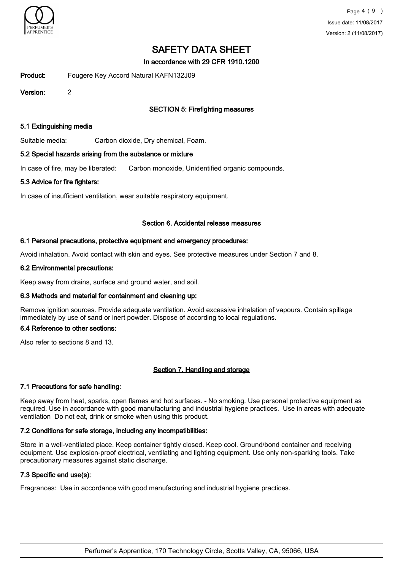

In accordance with 29 CFR 1910.1200

Product: Fougere Key Accord Natural KAFN132J09

Version: 2

# **SECTION 5: Firefighting measures**

#### 5.1 Extinguishing media

Suitable media: Carbon dioxide, Dry chemical, Foam.

#### 5.2 Special hazards arising from the substance or mixture

In case of fire, may be liberated: Carbon monoxide, Unidentified organic compounds.

#### 5.3 Advice for fire fighters:

In case of insufficient ventilation, wear suitable respiratory equipment.

#### Section 6. Accidental release measures

#### 6.1 Personal precautions, protective equipment and emergency procedures:

Avoid inhalation. Avoid contact with skin and eyes. See protective measures under Section 7 and 8.

#### 6.2 Environmental precautions:

Keep away from drains, surface and ground water, and soil.

#### 6.3 Methods and material for containment and cleaning up:

Remove ignition sources. Provide adequate ventilation. Avoid excessive inhalation of vapours. Contain spillage immediately by use of sand or inert powder. Dispose of according to local regulations.

#### 6.4 Reference to other sections:

Also refer to sections 8 and 13.

#### Section 7. Handling and storage

#### 7.1 Precautions for safe handling:

Keep away from heat, sparks, open flames and hot surfaces. - No smoking. Use personal protective equipment as required. Use in accordance with good manufacturing and industrial hygiene practices. Use in areas with adequate ventilation Do not eat, drink or smoke when using this product.

#### 7.2 Conditions for safe storage, including any incompatibilities:

Store in a well-ventilated place. Keep container tightly closed. Keep cool. Ground/bond container and receiving equipment. Use explosion-proof electrical, ventilating and lighting equipment. Use only non-sparking tools. Take precautionary measures against static discharge.

#### 7.3 Specific end use(s):

Fragrances: Use in accordance with good manufacturing and industrial hygiene practices.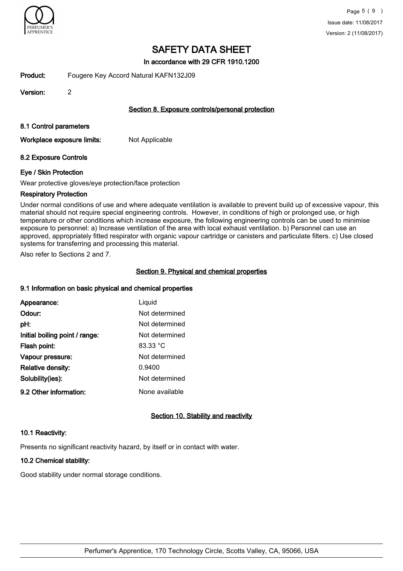

In accordance with 29 CFR 1910.1200

Product: Fougere Key Accord Natural KAFN132J09

Version: 2

### Section 8. Exposure controls/personal protection

#### 8.1 Control parameters

Workplace exposure limits: Not Applicable

### 8.2 Exposure Controls

#### Eye / Skin Protection

Wear protective gloves/eye protection/face protection

#### Respiratory Protection

Under normal conditions of use and where adequate ventilation is available to prevent build up of excessive vapour, this material should not require special engineering controls. However, in conditions of high or prolonged use, or high temperature or other conditions which increase exposure, the following engineering controls can be used to minimise exposure to personnel: a) Increase ventilation of the area with local exhaust ventilation. b) Personnel can use an approved, appropriately fitted respirator with organic vapour cartridge or canisters and particulate filters. c) Use closed systems for transferring and processing this material.

Also refer to Sections 2 and 7.

## Section 9. Physical and chemical properties

#### 9.1 Information on basic physical and chemical properties

| Appearance:                    | Liquid         |
|--------------------------------|----------------|
| Odour:                         | Not determined |
| pH:                            | Not determined |
| Initial boiling point / range: | Not determined |
| Flash point:                   | 83.33 °C       |
| Vapour pressure:               | Not determined |
| <b>Relative density:</b>       | 0.9400         |
| Solubility(ies):               | Not determined |
| 9.2 Other information:         | None available |

## Section 10. Stability and reactivity

#### 10.1 Reactivity:

Presents no significant reactivity hazard, by itself or in contact with water.

#### 10.2 Chemical stability:

Good stability under normal storage conditions.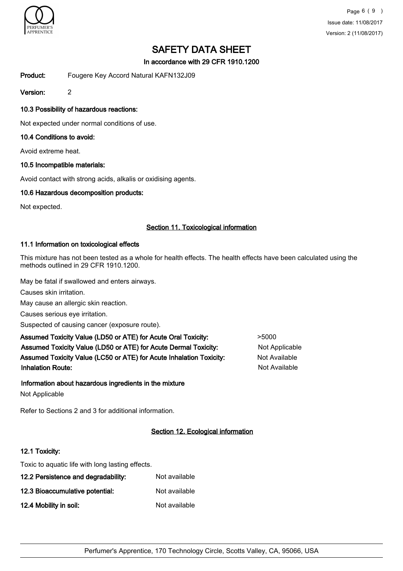

In accordance with 29 CFR 1910.1200

Product: Fougere Key Accord Natural KAFN132J09

Version: 2

### 10.3 Possibility of hazardous reactions:

Not expected under normal conditions of use.

#### 10.4 Conditions to avoid:

Avoid extreme heat.

#### 10.5 Incompatible materials:

Avoid contact with strong acids, alkalis or oxidising agents.

#### 10.6 Hazardous decomposition products:

Not expected.

### Section 11. Toxicological information

#### 11.1 Information on toxicological effects

This mixture has not been tested as a whole for health effects. The health effects have been calculated using the methods outlined in 29 CFR 1910.1200.

May be fatal if swallowed and enters airways.

Causes skin irritation.

May cause an allergic skin reaction.

Causes serious eye irritation.

Suspected of causing cancer (exposure route).

Assumed Toxicity Value (LD50 or ATE) for Acute Oral Toxicity:  $>5000$ Assumed Toxicity Value (LD50 or ATE) for Acute Dermal Toxicity: Not Applicable Assumed Toxicity Value (LC50 or ATE) for Acute Inhalation Toxicity: Not Available **Inhalation Route:** Not Available in the United States of Available in the United States of Available in the United States of Available in the United States of Available in the United States of Available in the United Stat

#### Information about hazardous ingredients in the mixture

Not Applicable

Refer to Sections 2 and 3 for additional information.

#### Section 12. Ecological information

#### 12.1 Toxicity:

Toxic to aquatic life with long lasting effects.

| 12.2 Persistence and degradability: | Not available |
|-------------------------------------|---------------|
| 12.3 Bioaccumulative potential:     | Not available |
| 12.4 Mobility in soil:              | Not available |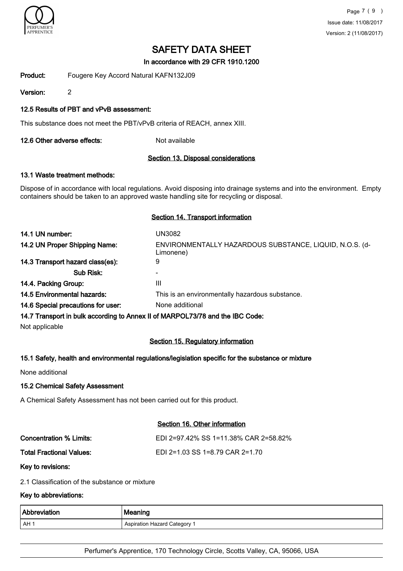

In accordance with 29 CFR 1910.1200

Product: Fougere Key Accord Natural KAFN132J09

Version: 2

### 12.5 Results of PBT and vPvB assessment:

This substance does not meet the PBT/vPvB criteria of REACH, annex XIII.

12.6 Other adverse effects: Not available

#### Section 13. Disposal considerations

# 13.1 Waste treatment methods:

Dispose of in accordance with local regulations. Avoid disposing into drainage systems and into the environment. Empty containers should be taken to an approved waste handling site for recycling or disposal.

#### Section 14. Transport information

| 14.1 UN number:                    | UN3082                                                                        |
|------------------------------------|-------------------------------------------------------------------------------|
| 14.2 UN Proper Shipping Name:      | ENVIRONMENTALLY HAZARDOUS SUBSTANCE, LIQUID, N.O.S. (d-<br>Limonene)          |
| 14.3 Transport hazard class(es):   | 9                                                                             |
| Sub Risk:                          |                                                                               |
| 14.4. Packing Group:               | Ш                                                                             |
| <b>14.5 Environmental hazards:</b> | This is an environmentally hazardous substance.                               |
| 14.6 Special precautions for user: | None additional                                                               |
|                                    | 14.7 Transport in bulk according to Annex II of MARPOL73/78 and the IBC Code: |

Not applicable

## Section 15. Regulatory information

#### 15.1 Safety, health and environmental regulations/legislation specific for the substance or mixture

None additional

#### 15.2 Chemical Safety Assessment

A Chemical Safety Assessment has not been carried out for this product.

#### Section 16. Other information

| Concentration % Limits:  | EDI 2=97.42% SS 1=11.38% CAR 2=58.82% |
|--------------------------|---------------------------------------|
| Total Fractional Values: | EDI 2=1.03 SS 1=8.79 CAR 2=1.70       |

Key to revisions:

2.1 Classification of the substance or mixture

#### Key to abbreviations:

| <b>Abbreviation</b> | ∣ Meaning                    |
|---------------------|------------------------------|
| AH ·                | Aspiration Hazard Category 1 |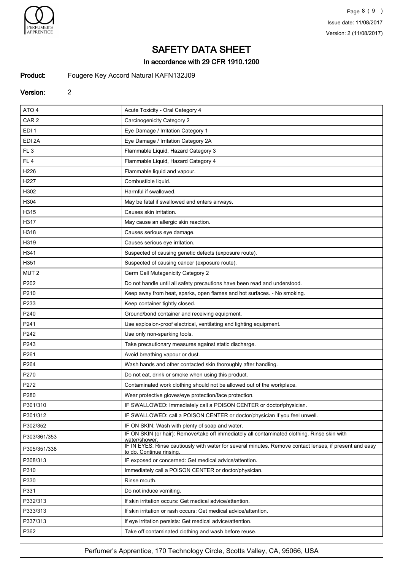

### In accordance with 29 CFR 1910.1200

# Product: Fougere Key Accord Natural KAFN132J09

# Version: 2

| ATO <sub>4</sub> | Acute Toxicity - Oral Category 4                                                                                                    |
|------------------|-------------------------------------------------------------------------------------------------------------------------------------|
| CAR <sub>2</sub> | Carcinogenicity Category 2                                                                                                          |
| EDI <sub>1</sub> | Eye Damage / Irritation Category 1                                                                                                  |
| EDI 2A           | Eye Damage / Irritation Category 2A                                                                                                 |
| FL <sub>3</sub>  | Flammable Liquid, Hazard Category 3                                                                                                 |
| FL <sub>4</sub>  | Flammable Liquid, Hazard Category 4                                                                                                 |
| H226             | Flammable liquid and vapour.                                                                                                        |
| H <sub>227</sub> | Combustible liquid.                                                                                                                 |
| H302             | Harmful if swallowed.                                                                                                               |
| H304             | May be fatal if swallowed and enters airways.                                                                                       |
| H315             | Causes skin irritation.                                                                                                             |
| H317             | May cause an allergic skin reaction.                                                                                                |
| H318             | Causes serious eye damage.                                                                                                          |
| H319             | Causes serious eye irritation.                                                                                                      |
| H341             | Suspected of causing genetic defects (exposure route).                                                                              |
| H351             | Suspected of causing cancer (exposure route).                                                                                       |
| MUT <sub>2</sub> | Germ Cell Mutagenicity Category 2                                                                                                   |
| P202             | Do not handle until all safety precautions have been read and understood.                                                           |
| P210             | Keep away from heat, sparks, open flames and hot surfaces. - No smoking.                                                            |
| P233             | Keep container tightly closed.                                                                                                      |
| P240             | Ground/bond container and receiving equipment.                                                                                      |
| P241             | Use explosion-proof electrical, ventilating and lighting equipment.                                                                 |
| P242             | Use only non-sparking tools.                                                                                                        |
| P243             | Take precautionary measures against static discharge.                                                                               |
| P261             | Avoid breathing vapour or dust.                                                                                                     |
| P264             | Wash hands and other contacted skin thoroughly after handling.                                                                      |
| P270             | Do not eat, drink or smoke when using this product.                                                                                 |
| P272             | Contaminated work clothing should not be allowed out of the workplace.                                                              |
| P280             | Wear protective gloves/eye protection/face protection.                                                                              |
| P301/310         | IF SWALLOWED: Immediately call a POISON CENTER or doctor/physician.                                                                 |
| P301/312         | IF SWALLOWED: call a POISON CENTER or doctor/physician if you feel unwell.                                                          |
| P302/352         | IF ON SKIN: Wash with plenty of soap and water.                                                                                     |
| P303/361/353     | IF ON SKIN (or hair): Remove/take off immediately all contaminated clothing. Rinse skin with<br>water/shower.                       |
| P305/351/338     | IF IN EYES: Rinse cautiously with water for several minutes. Remove contact lenses, if present and easy<br>to do. Continue rinsing. |
| P308/313         | IF exposed or concerned: Get medical advice/attention.                                                                              |
| P310             | Immediately call a POISON CENTER or doctor/physician.                                                                               |
| P330             | Rinse mouth.                                                                                                                        |
| P331             | Do not induce vomiting.                                                                                                             |
| P332/313         | If skin irritation occurs: Get medical advice/attention.                                                                            |
| P333/313         | If skin irritation or rash occurs: Get medical advice/attention.                                                                    |
| P337/313         | If eye irritation persists: Get medical advice/attention.                                                                           |
| P362             | Take off contaminated clothing and wash before reuse.                                                                               |